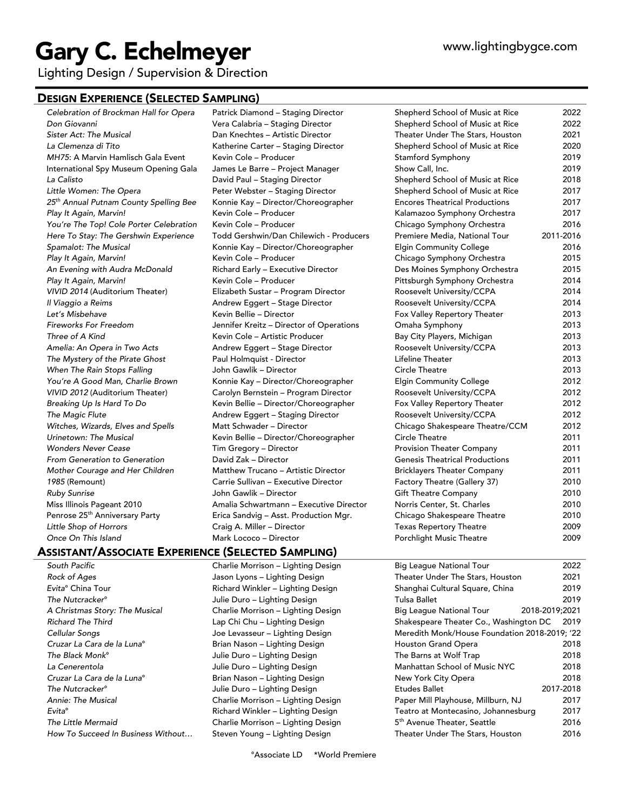# Gary C. Echelmeyer

Lighting Design / Supervision & Direction

### DESIGN EXPERIENCE (SELECTED SAMPLING)

*Celebration of Brockman Hall for Opera* Patrick Diamond – Staging Director Shepherd School of Music at Rice 2022 *Don Giovanni* Vera Calabria – Staging Director Shepherd School of Music at Rice 2022

## ASSISTANT/ASSOCIATE EXPERIENCE (SELECTED SAMPLING)

*The Little Mermaid* Charlie Morrison – Lighting Design 5th Avenue Theater, Seattle 2016 How To Succeed In Business Without... Steven Young – Lighting Design Theater Under The Stars, Houston 2016

*Sister Act: The Musical* Dan Knechtes – Artistic Director Theater Under The Stars, Houston 2021 *La Clemenza di Tito* Katherine Carter – Staging Director Shepherd School of Music at Rice 2020 *MH75*: A Marvin Hamlisch Gala Event Kevin Cole – Producer Stam Stamford Symphony 2019 International Spy Museum Opening Gala James Le Barre – Project Manager Show Call, Inc. 2019 *La Calisto* David Paul – Staging Director Shepherd School of Music at Rice 2018 *Little Women: The Opera* Peter Webster – Staging Director Shepherd School of Music at Rice 2017

*25th Annual Putnam County Spelling Bee* Konnie Kay – Director/Choreographer Encores Theatrical Productions 2017 *Play It Again, Marvin!* Kevin Cole – Producer Kalamazoo Symphony Orchestra 2017 *You're The Top! Cole Porter Celebration* Kevin Cole – Producer Chicago Symphony Orchestra 2016 *Here To Stay: The Gershwin Experience* Todd Gershwin/Dan Chilewich - Producers Premiere Media, National Tour 2011-2016 *Spamalot: The Musical* Konnie Kay – Director/Choreographer Elgin Community College 2016 Play It Again, Marvin! **Marry 1998** Kevin Cole – Producer **Chicago Symphony Orchestra** 2015 *An Evening with Audra McDonald* Richard Early – Executive Director Des Moines Symphony Orchestra 2015 Play It Again, Marvin! **Marry 1988** Kevin Cole – Producer **New York Cole 2014** Pittsburgh Symphony Orchestra 2014 *VIVID 2014* (Auditorium Theater) Elizabeth Sustar – Program Director Roosevelt University/CCPA 2014 *Il Viaggio a Reims* Andrew Eggert – Stage Director Roosevelt University/CCPA 2014 *Let's Misbehave* Kevin Bellie – Director Fox Valley Repertory Theater 2013 *Fireworks For Freedom* Jennifer Kreitz – Director of Operations Omaha Symphony 2013 *Three of A Kind* Kevin Cole – Artistic Producer Bay City Players, Michigan 2013 *Amelia: An Opera in Two Acts* Andrew Eggert – Stage Director Roosevelt University/CCPA 2013 *The Mystery of the Pirate Ghost* Paul Holmquist - Director Lifeline Theater 2013 *When The Rain Stops Falling* John Gawlik – Director Circle Theatre 2013 *You're A Good Man, Charlie Brown* Konnie Kay – Director/Choreographer Elgin Community College 2012 *VIVID 2012* (Auditorium Theater) Carolyn Bernstein – Program Director Roosevelt University/CCPA 2012 *Breaking Up Is Hard To Do* Kevin Bellie – Director/Choreographer Fox Valley Repertory Theater 2012 *The Magic Flute* Andrew Eggert – Staging Director Roosevelt University/CCPA 2012 *Witches, Wizards, Elves and Spells* Matt Schwader – Director Chicago Shakespeare Theatre/CCM 2012 *Urinetown: The Musical* Kevin Bellie – Director/Choreographer Circle Theatre 2011 *Wonders Never Cease* Tim Gregory – Director Provision Theater Company 2011 *From Generation to Generation* David Zak – Director Genesis Theatrical Productions 2011 *Mother Courage and Her Children* Matthew Trucano – Artistic Director Bricklayers Theater Company 2011 1985 (Remount) **Carrie Sullivan – Executive Director** Factory Theatre (Gallery 37) 2010 *Ruby Sunrise* John Gawlik – Director Gift Theatre Company 2010 Miss Illinois Pageant 2010 Amalia Schwartmann – Executive Director Norris Center, St. Charles 2010 Penrose 25<sup>th</sup> Anniversary Party **Erica Sandvig – Asst. Production Mgr.** Chicago Shakespeare Theatre 2010 *Little Shop of Horrors* Craig A. Miller – Director Texas Repertory Theatre 2009 **Once On This Island Mark Lococo – Director Mark Lococo – Director** Porchlight Music Theatre 2009 *South Pacific* Charlie Morrison – Lighting Design Big League National Tour 2022 *Rock of Ages* Jason Lyons – Lighting Design Theater Under The Stars, Houston 2021 *Evita*° China Tour Richard Winkler – Lighting Design Shanghai Cultural Square, China 2019 *The Nutcracker*° Julie Duro – Lighting Design Tulsa Ballet 2019 *A Christmas Story: The Musical* Charlie Morrison – Lighting Design Big League National Tour 2018-2019;2021 *Richard The Third* Lap Chi Chu – Lighting Design Shakespeare Theater Co., Washington DC 2019 *Cellular Songs* Joe Levasseur – Lighting Design Meredith Monk/House Foundation 2018-2019; '22 *Cruzar La Cara de la Luna*° Brian Nason – Lighting Design Houston Grand Opera 2018 *The Black Monk*° Julie Duro – Lighting Design The Barns at Wolf Trap 2018 *La Cenerentola* Julie Duro – Lighting Design Manhattan School of Music NYC 2018 *Cruzar La Cara de la Luna*° Brian Nason – Lighting Design New York City Opera 2018 *The Nutcracker*° Julie Duro – Lighting Design Etudes Ballet 2017-2018 *Annie: The Musical* Charlie Morrison – Lighting Design Paper Mill Playhouse, Millburn, NJ 2017 *Evita*° Richard Winkler – Lighting Design Teatro at Montecasino, Johannesburg 2017